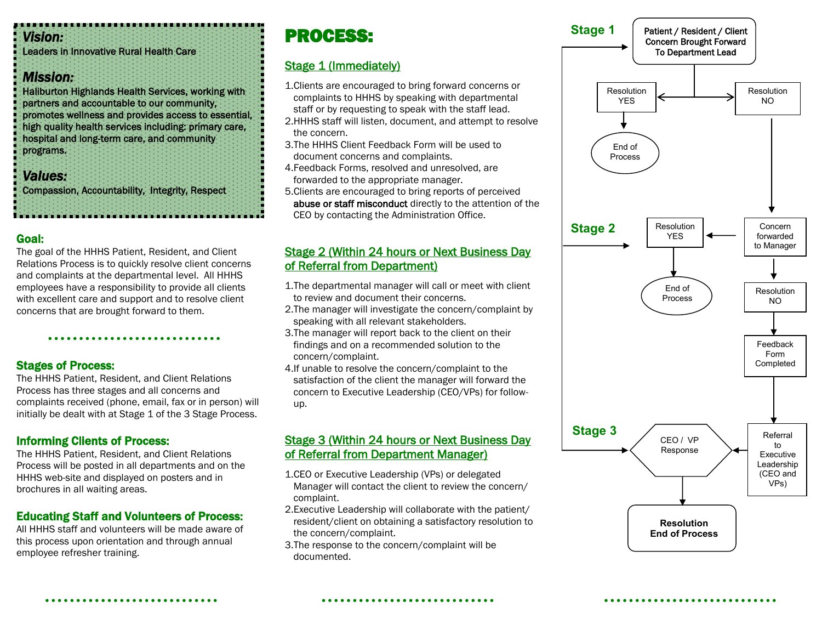#### *Vision:*

Leaders in Innovative Rural Health Care

### *Mission:*

Haliburton Highlands Health Services, working with partners and accountable to our community, promotes wellness and provides access to essential, high quality health services including: primary care, hospital and long-term care, and community programs.

### *Values:*

Compassion, Accountability, Integrity, Respect

### Goal:

The goal of the HHHS Patient, Resident, and Client Relations Process is to quickly resolve client concerns and complaints at the departmental level. All HHHS employees have a responsibility to provide all clients with excellent care and support and to resolve client concerns that are brought forward to them.

### Stages of Process:

The HHHS Patient, Resident, and Client Relations Process has three stages and all concerns and complaints received (phone, email, fax or in person) will initially be dealt with at Stage 1 of the 3 Stage Process.

### Informing Clients of Process:

The HHHS Patient, Resident, and Client Relations Process will be posted in all departments and on the HHHS web-site and displayed on posters and in brochures in all waiting areas.

### Educating Staff and Volunteers of Process:

All HHHS staff and volunteers will be made aware of this process upon orientation and through annual employee refresher training.

## PROCESS:

### Stage 1 (Immediately)

- 1.Clients are encouraged to bring forward concerns or complaints to HHHS by speaking with departmental staff or by requesting to speak with the staff lead.
- 2.HHHS staff will listen, document, and attempt to resolve the concern.
- 3.The HHHS Client Feedback Form will be used to document concerns and complaints.
- 4.Feedback Forms, resolved and unresolved, are forwarded to the appropriate manager.
- 5.Clients are encouraged to bring reports of perceived abuse or staff misconduct directly to the attention of the CEO by contacting the Administration Office.

### Stage 2 (Within 24 hours or Next Business Day of Referral from Department)

- 1.The departmental manager will call or meet with client to review and document their concerns.
- 2.The manager will investigate the concern/complaint by speaking with all relevant stakeholders.
- 3.The manager will report back to the client on their findings and on a recommended solution to the concern/complaint.
- 4.If unable to resolve the concern/complaint to the satisfaction of the client the manager will forward the concern to Executive Leadership (CEO/VPs) for followup.

### Stage 3 (Within 24 hours or Next Business Day of Referral from Department Manager)

- 1.CEO or Executive Leadership (VPs) or delegated Manager will contact the client to review the concern/ complaint.
- 2.Executive Leadership will collaborate with the patient/ resident/client on obtaining a satisfactory resolution to the concern/complaint.
- 3.The response to the concern/complaint will be documented.